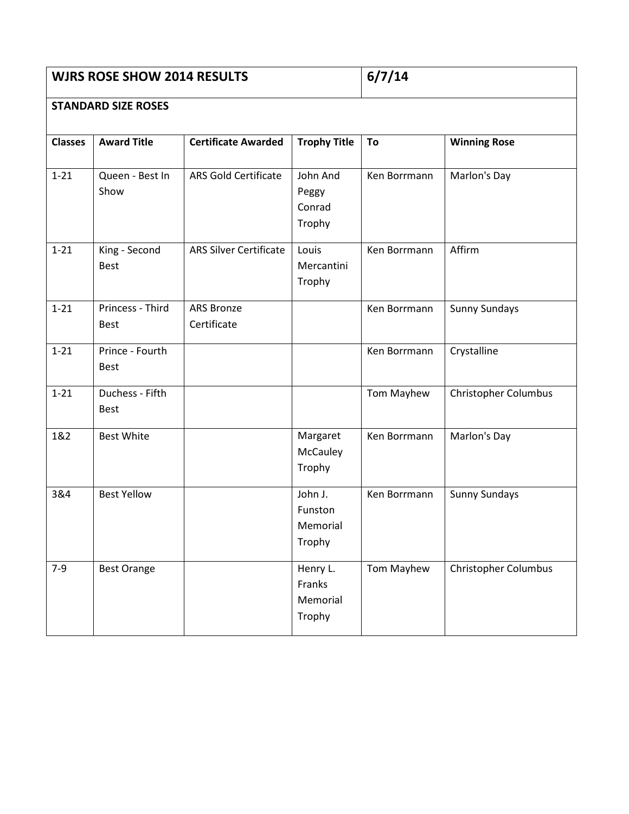## **WJRS ROSE SHOW 2014 RESULTS** 6/7/14

## **STANDARD SIZE ROSES**

| <b>Classes</b> | <b>Award Title</b>              | <b>Certificate Awarded</b>       | <b>Trophy Title</b>                      | To           | <b>Winning Rose</b>         |
|----------------|---------------------------------|----------------------------------|------------------------------------------|--------------|-----------------------------|
| $1 - 21$       | Queen - Best In<br>Show         | <b>ARS Gold Certificate</b>      | John And<br>Peggy<br>Conrad<br>Trophy    | Ken Borrmann | Marlon's Day                |
| $1 - 21$       | King - Second<br><b>Best</b>    | <b>ARS Silver Certificate</b>    | Louis<br>Mercantini<br>Trophy            | Ken Borrmann | Affirm                      |
| $1 - 21$       | Princess - Third<br><b>Best</b> | <b>ARS Bronze</b><br>Certificate |                                          | Ken Borrmann | <b>Sunny Sundays</b>        |
| $1 - 21$       | Prince - Fourth<br><b>Best</b>  |                                  |                                          | Ken Borrmann | Crystalline                 |
| $1 - 21$       | Duchess - Fifth<br><b>Best</b>  |                                  |                                          | Tom Mayhew   | <b>Christopher Columbus</b> |
| 1&2            | <b>Best White</b>               |                                  | Margaret<br>McCauley<br>Trophy           | Ken Borrmann | Marlon's Day                |
| 3&4            | <b>Best Yellow</b>              |                                  | John J.<br>Funston<br>Memorial<br>Trophy | Ken Borrmann | <b>Sunny Sundays</b>        |
| $7-9$          | <b>Best Orange</b>              |                                  | Henry L.<br>Franks<br>Memorial<br>Trophy | Tom Mayhew   | <b>Christopher Columbus</b> |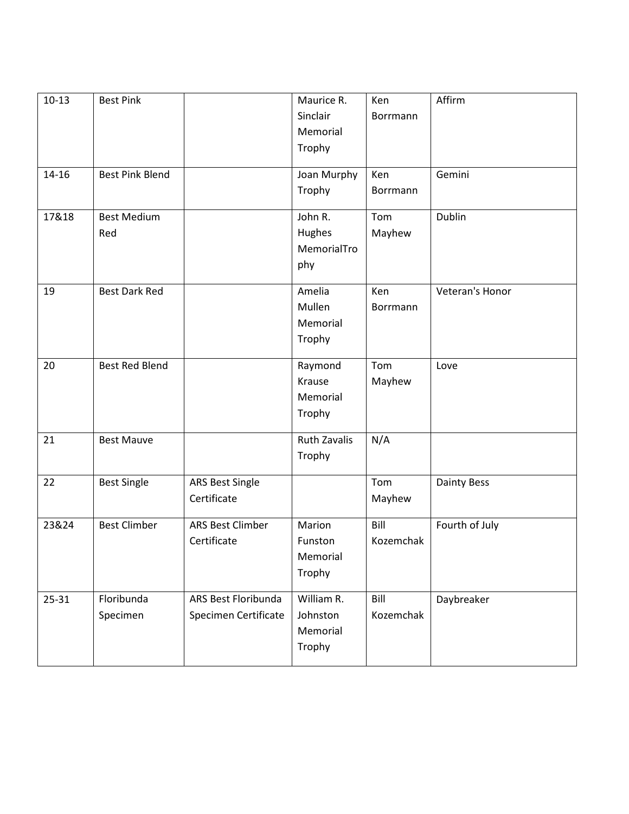| $10-13$   | <b>Best Pink</b>       |                        | Maurice R.          | Ken       | Affirm             |
|-----------|------------------------|------------------------|---------------------|-----------|--------------------|
|           |                        |                        | Sinclair            | Borrmann  |                    |
|           |                        |                        | Memorial            |           |                    |
|           |                        |                        | Trophy              |           |                    |
|           |                        |                        |                     |           |                    |
| $14 - 16$ | <b>Best Pink Blend</b> |                        | Joan Murphy         | Ken       | Gemini             |
|           |                        |                        | Trophy              | Borrmann  |                    |
| 17&18     | <b>Best Medium</b>     |                        | John R.             | Tom       | Dublin             |
|           | Red                    |                        | Hughes              | Mayhew    |                    |
|           |                        |                        | MemorialTro         |           |                    |
|           |                        |                        | phy                 |           |                    |
|           |                        |                        |                     |           |                    |
| 19        | <b>Best Dark Red</b>   |                        | Amelia              | Ken       | Veteran's Honor    |
|           |                        |                        | Mullen              | Borrmann  |                    |
|           |                        |                        | Memorial            |           |                    |
|           |                        |                        | Trophy              |           |                    |
| 20        | <b>Best Red Blend</b>  |                        | Raymond             | Tom       | Love               |
|           |                        |                        | Krause              | Mayhew    |                    |
|           |                        |                        | Memorial            |           |                    |
|           |                        |                        | Trophy              |           |                    |
| 21        | <b>Best Mauve</b>      |                        | <b>Ruth Zavalis</b> | N/A       |                    |
|           |                        |                        | Trophy              |           |                    |
|           |                        |                        |                     |           |                    |
| 22        | <b>Best Single</b>     | <b>ARS Best Single</b> |                     | Tom       | <b>Dainty Bess</b> |
|           |                        | Certificate            |                     | Mayhew    |                    |
| 23&24     | <b>Best Climber</b>    | ARS Best Climber       | Marion              | Bill      | Fourth of July     |
|           |                        | Certificate            | Funston             | Kozemchak |                    |
|           |                        |                        | Memorial            |           |                    |
|           |                        |                        | Trophy              |           |                    |
|           |                        |                        |                     |           |                    |
| 25-31     | Floribunda             | ARS Best Floribunda    | William R.          | Bill      | Daybreaker         |
|           | Specimen               | Specimen Certificate   | Johnston            | Kozemchak |                    |
|           |                        |                        | Memorial            |           |                    |
|           |                        |                        | Trophy              |           |                    |
|           |                        |                        |                     |           |                    |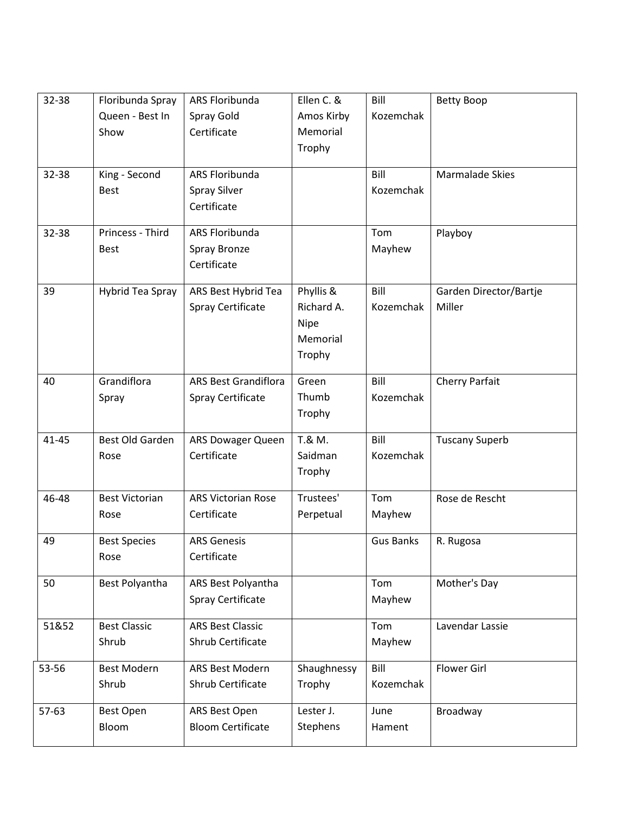| 32-38     | Floribunda Spray<br>Queen - Best In | ARS Floribunda<br>Spray Gold                         | Ellen C. &<br>Amos Kirby                              | Bill<br>Kozemchak | <b>Betty Boop</b>                |
|-----------|-------------------------------------|------------------------------------------------------|-------------------------------------------------------|-------------------|----------------------------------|
|           | Show                                | Certificate                                          | Memorial<br>Trophy                                    |                   |                                  |
| 32-38     | King - Second<br><b>Best</b>        | ARS Floribunda<br><b>Spray Silver</b><br>Certificate |                                                       | Bill<br>Kozemchak | <b>Marmalade Skies</b>           |
| 32-38     | Princess - Third<br><b>Best</b>     | ARS Floribunda<br>Spray Bronze<br>Certificate        |                                                       | Tom<br>Mayhew     | Playboy                          |
| 39        | Hybrid Tea Spray                    | ARS Best Hybrid Tea<br>Spray Certificate             | Phyllis &<br>Richard A.<br>Nipe<br>Memorial<br>Trophy | Bill<br>Kozemchak | Garden Director/Bartje<br>Miller |
| 40        | Grandiflora<br>Spray                | <b>ARS Best Grandiflora</b><br>Spray Certificate     | Green<br>Thumb<br>Trophy                              | Bill<br>Kozemchak | Cherry Parfait                   |
| $41 - 45$ | Best Old Garden<br>Rose             | ARS Dowager Queen<br>Certificate                     | T.& M.<br>Saidman<br>Trophy                           | Bill<br>Kozemchak | <b>Tuscany Superb</b>            |
| 46-48     | <b>Best Victorian</b><br>Rose       | <b>ARS Victorian Rose</b><br>Certificate             | Trustees'<br>Perpetual                                | Tom<br>Mayhew     | Rose de Rescht                   |
| 49        | <b>Best Species</b><br>Rose         | <b>ARS Genesis</b><br>Certificate                    |                                                       | <b>Gus Banks</b>  | R. Rugosa                        |
| 50        | Best Polyantha                      | ARS Best Polyantha<br>Spray Certificate              |                                                       | Tom<br>Mayhew     | Mother's Day                     |
| 51&52     | <b>Best Classic</b><br>Shrub        | <b>ARS Best Classic</b><br>Shrub Certificate         |                                                       | Tom<br>Mayhew     | Lavendar Lassie                  |
| 53-56     | <b>Best Modern</b><br>Shrub         | ARS Best Modern<br>Shrub Certificate                 | Shaughnessy<br>Trophy                                 | Bill<br>Kozemchak | <b>Flower Girl</b>               |
| 57-63     | <b>Best Open</b><br>Bloom           | ARS Best Open<br><b>Bloom Certificate</b>            | Lester J.<br>Stephens                                 | June<br>Hament    | Broadway                         |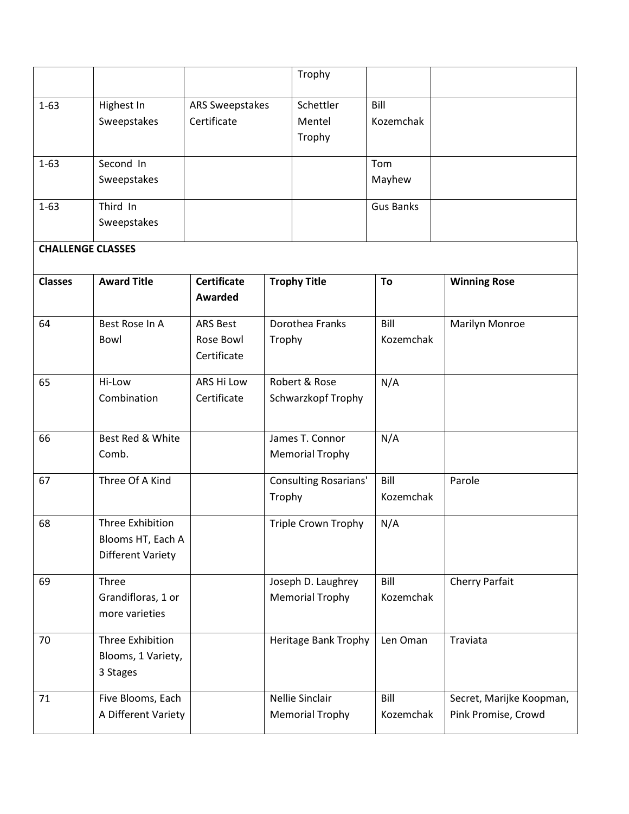|                          |                          |                    |        | Trophy                       |                  |                          |
|--------------------------|--------------------------|--------------------|--------|------------------------------|------------------|--------------------------|
| $1 - 63$                 | Highest In               | ARS Sweepstakes    |        | Schettler                    | Bill             |                          |
|                          | Sweepstakes              | Certificate        |        | Mentel                       | Kozemchak        |                          |
|                          |                          |                    |        | Trophy                       |                  |                          |
| $1 - 63$                 | Second In                |                    |        |                              | Tom              |                          |
|                          | Sweepstakes              |                    |        |                              | Mayhew           |                          |
| $1 - 63$                 | Third In                 |                    |        |                              | <b>Gus Banks</b> |                          |
|                          | Sweepstakes              |                    |        |                              |                  |                          |
| <b>CHALLENGE CLASSES</b> |                          |                    |        |                              |                  |                          |
| <b>Classes</b>           | <b>Award Title</b>       | <b>Certificate</b> |        | <b>Trophy Title</b>          | To               | <b>Winning Rose</b>      |
|                          |                          | <b>Awarded</b>     |        |                              |                  |                          |
| 64                       | Best Rose In A           | <b>ARS Best</b>    |        | Dorothea Franks              | Bill             | Marilyn Monroe           |
|                          | Bowl                     | Rose Bowl          | Trophy |                              | Kozemchak        |                          |
|                          |                          | Certificate        |        |                              |                  |                          |
| 65                       | Hi-Low                   | ARS Hi Low         |        | Robert & Rose                | N/A              |                          |
|                          | Combination              | Certificate        |        | Schwarzkopf Trophy           |                  |                          |
|                          |                          |                    |        |                              |                  |                          |
| 66                       | Best Red & White         |                    |        | James T. Connor              | N/A              |                          |
|                          | Comb.                    |                    |        | <b>Memorial Trophy</b>       |                  |                          |
| 67                       | Three Of A Kind          |                    |        | <b>Consulting Rosarians'</b> | Bill             | Parole                   |
|                          |                          |                    | Trophy |                              | Kozemchak        |                          |
| 68                       | Three Exhibition         |                    |        | Triple Crown Trophy          | N/A              |                          |
|                          | Blooms HT, Each A        |                    |        |                              |                  |                          |
|                          | <b>Different Variety</b> |                    |        |                              |                  |                          |
| 69                       | Three                    |                    |        | Joseph D. Laughrey           | Bill             | Cherry Parfait           |
|                          | Grandifloras, 1 or       |                    |        | <b>Memorial Trophy</b>       | Kozemchak        |                          |
|                          | more varieties           |                    |        |                              |                  |                          |
| 70                       | Three Exhibition         |                    |        | Heritage Bank Trophy         | Len Oman         | Traviata                 |
|                          | Blooms, 1 Variety,       |                    |        |                              |                  |                          |
|                          | 3 Stages                 |                    |        |                              |                  |                          |
| 71                       | Five Blooms, Each        |                    |        | Nellie Sinclair              | Bill             | Secret, Marijke Koopman, |
|                          | A Different Variety      |                    |        | <b>Memorial Trophy</b>       | Kozemchak        | Pink Promise, Crowd      |
|                          |                          |                    |        |                              |                  |                          |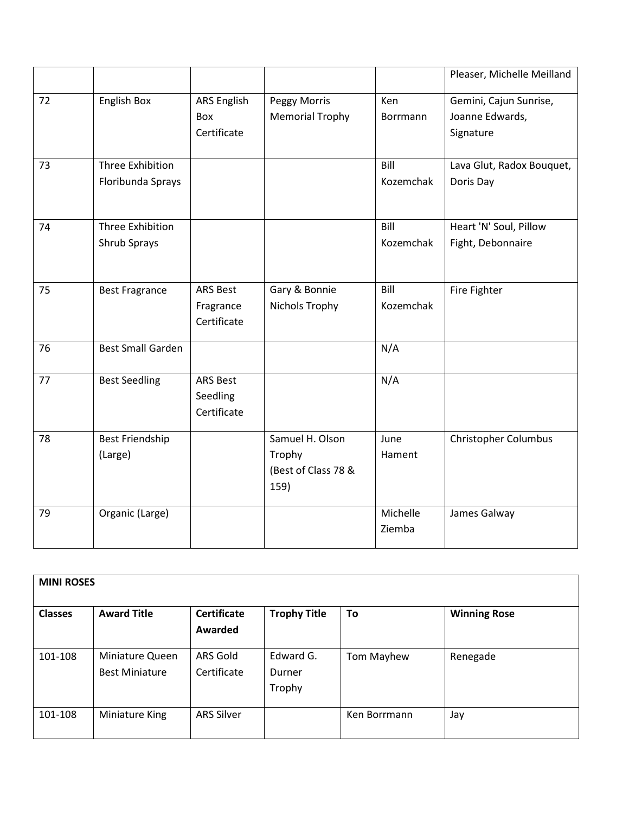|    |                          |                           |                                        |                 | Pleaser, Michelle Meilland                |
|----|--------------------------|---------------------------|----------------------------------------|-----------------|-------------------------------------------|
| 72 | English Box              | <b>ARS English</b><br>Box | Peggy Morris<br><b>Memorial Trophy</b> | Ken<br>Borrmann | Gemini, Cajun Sunrise,<br>Joanne Edwards, |
|    |                          | Certificate               |                                        |                 | Signature                                 |
| 73 | Three Exhibition         |                           |                                        | Bill            | Lava Glut, Radox Bouquet,                 |
|    | Floribunda Sprays        |                           |                                        | Kozemchak       | Doris Day                                 |
| 74 | <b>Three Exhibition</b>  |                           |                                        | Bill            | Heart 'N' Soul, Pillow                    |
|    | Shrub Sprays             |                           |                                        | Kozemchak       | Fight, Debonnaire                         |
| 75 | <b>Best Fragrance</b>    | <b>ARS Best</b>           | Gary & Bonnie                          | Bill            | Fire Fighter                              |
|    |                          | Fragrance                 | Nichols Trophy                         | Kozemchak       |                                           |
|    |                          | Certificate               |                                        |                 |                                           |
| 76 | <b>Best Small Garden</b> |                           |                                        | N/A             |                                           |
| 77 | <b>Best Seedling</b>     | <b>ARS Best</b>           |                                        | N/A             |                                           |
|    |                          | Seedling                  |                                        |                 |                                           |
|    |                          | Certificate               |                                        |                 |                                           |
| 78 | <b>Best Friendship</b>   |                           | Samuel H. Olson                        | June            | <b>Christopher Columbus</b>               |
|    | (Large)                  |                           | Trophy                                 | Hament          |                                           |
|    |                          |                           | (Best of Class 78 &<br>159)            |                 |                                           |
| 79 | Organic (Large)          |                           |                                        | Michelle        | James Galway                              |
|    |                          |                           |                                        | Ziemba          |                                           |

| <b>MINI ROSES</b> |                                          |                               |                               |              |                     |  |  |  |  |  |
|-------------------|------------------------------------------|-------------------------------|-------------------------------|--------------|---------------------|--|--|--|--|--|
| <b>Classes</b>    | <b>Award Title</b>                       | <b>Certificate</b><br>Awarded | <b>Trophy Title</b>           | To           | <b>Winning Rose</b> |  |  |  |  |  |
| 101-108           | Miniature Queen<br><b>Best Miniature</b> | ARS Gold<br>Certificate       | Edward G.<br>Durner<br>Trophy | Tom Mayhew   | Renegade            |  |  |  |  |  |
| 101-108           | Miniature King                           | <b>ARS Silver</b>             |                               | Ken Borrmann | Jay                 |  |  |  |  |  |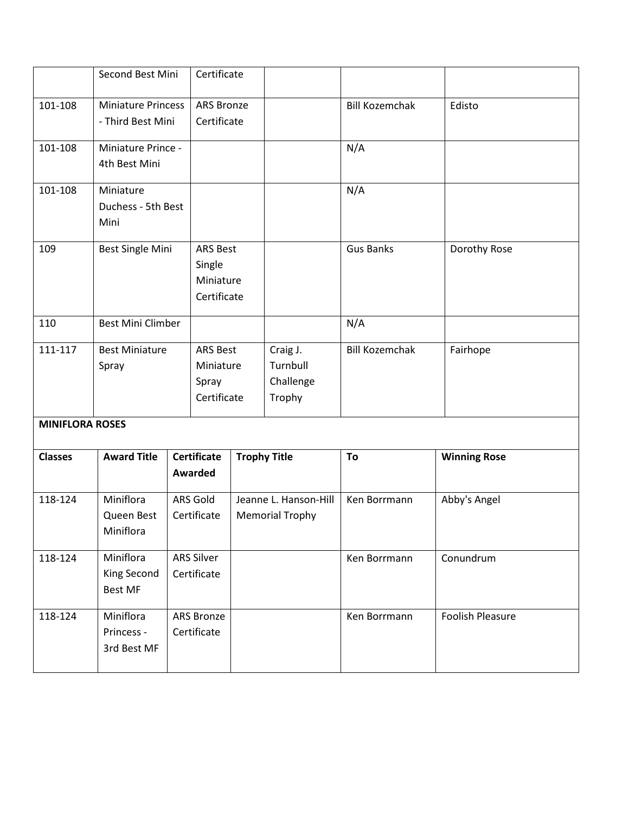|                        | Second Best Mini                               |  | Certificate                                           |  |                                                 |                       |                         |
|------------------------|------------------------------------------------|--|-------------------------------------------------------|--|-------------------------------------------------|-----------------------|-------------------------|
| 101-108                | <b>Miniature Princess</b><br>- Third Best Mini |  | <b>ARS Bronze</b><br>Certificate                      |  |                                                 | <b>Bill Kozemchak</b> | Edisto                  |
| 101-108                | Miniature Prince -<br>4th Best Mini            |  |                                                       |  |                                                 | N/A                   |                         |
| 101-108                | Miniature<br>Duchess - 5th Best<br>Mini        |  |                                                       |  |                                                 | N/A                   |                         |
| 109                    | <b>Best Single Mini</b>                        |  | <b>ARS Best</b><br>Single<br>Miniature<br>Certificate |  |                                                 | <b>Gus Banks</b>      | Dorothy Rose            |
| 110                    | <b>Best Mini Climber</b>                       |  |                                                       |  |                                                 | N/A                   |                         |
| 111-117                | <b>Best Miniature</b><br>Spray                 |  | <b>ARS Best</b><br>Miniature<br>Spray<br>Certificate  |  | Craig J.<br>Turnbull<br>Challenge<br>Trophy     | <b>Bill Kozemchak</b> | Fairhope                |
| <b>MINIFLORA ROSES</b> |                                                |  |                                                       |  |                                                 |                       |                         |
| <b>Classes</b>         | <b>Award Title</b>                             |  | <b>Certificate</b><br>Awarded                         |  | <b>Trophy Title</b>                             | To                    | <b>Winning Rose</b>     |
| 118-124                | Miniflora<br>Queen Best<br>Miniflora           |  | ARS Gold<br>Certificate                               |  | Jeanne L. Hanson-Hill<br><b>Memorial Trophy</b> | Ken Borrmann          | Abby's Angel            |
| 118-124                | Miniflora<br>King Second<br><b>Best MF</b>     |  | <b>ARS Silver</b><br>Certificate                      |  |                                                 | Ken Borrmann          | Conundrum               |
| 118-124                | Miniflora<br>Princess -<br>3rd Best MF         |  | ARS Bronze<br>Certificate                             |  |                                                 | Ken Borrmann          | <b>Foolish Pleasure</b> |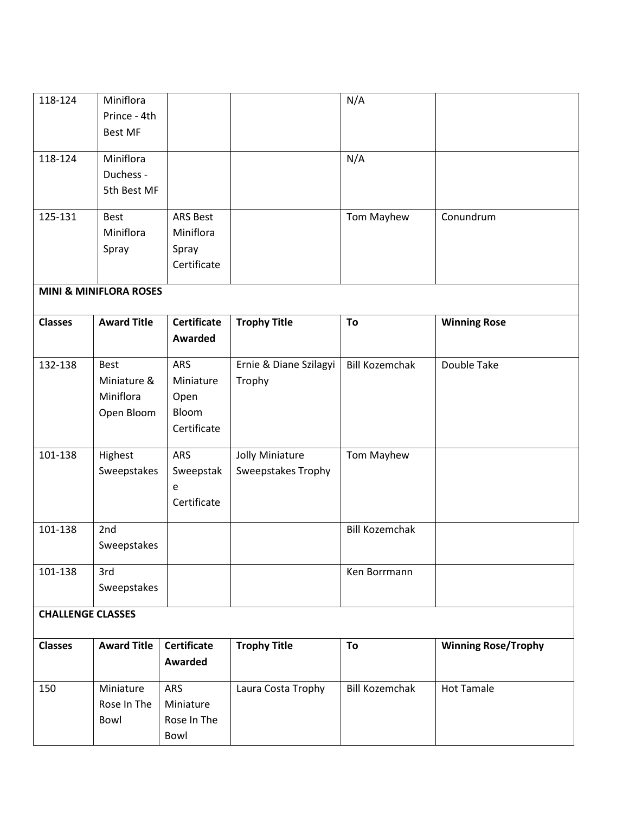| 118-124                  | Miniflora                         |                    |                           | N/A                   |                            |
|--------------------------|-----------------------------------|--------------------|---------------------------|-----------------------|----------------------------|
|                          | Prince - 4th                      |                    |                           |                       |                            |
|                          | <b>Best MF</b>                    |                    |                           |                       |                            |
|                          |                                   |                    |                           |                       |                            |
| 118-124                  | Miniflora                         |                    |                           | N/A                   |                            |
|                          | Duchess -                         |                    |                           |                       |                            |
|                          | 5th Best MF                       |                    |                           |                       |                            |
|                          |                                   |                    |                           |                       |                            |
| 125-131                  | <b>Best</b>                       | <b>ARS Best</b>    |                           | Tom Mayhew            | Conundrum                  |
|                          | Miniflora                         | Miniflora          |                           |                       |                            |
|                          | Spray                             | Spray              |                           |                       |                            |
|                          |                                   | Certificate        |                           |                       |                            |
|                          |                                   |                    |                           |                       |                            |
|                          | <b>MINI &amp; MINIFLORA ROSES</b> |                    |                           |                       |                            |
| <b>Classes</b>           | <b>Award Title</b>                | <b>Certificate</b> | <b>Trophy Title</b>       | To                    | <b>Winning Rose</b>        |
|                          |                                   | <b>Awarded</b>     |                           |                       |                            |
|                          |                                   |                    |                           |                       |                            |
| 132-138                  | <b>Best</b>                       | ARS                | Ernie & Diane Szilagyi    | <b>Bill Kozemchak</b> | Double Take                |
|                          | Miniature &                       | Miniature          | Trophy                    |                       |                            |
|                          | Miniflora                         | Open               |                           |                       |                            |
|                          | Open Bloom                        | Bloom              |                           |                       |                            |
|                          |                                   | Certificate        |                           |                       |                            |
|                          |                                   |                    |                           |                       |                            |
| 101-138                  | Highest                           | ARS                | Jolly Miniature           | Tom Mayhew            |                            |
|                          | Sweepstakes                       | Sweepstak          | <b>Sweepstakes Trophy</b> |                       |                            |
|                          |                                   | e                  |                           |                       |                            |
|                          |                                   | Certificate        |                           |                       |                            |
|                          |                                   |                    |                           | <b>Bill Kozemchak</b> |                            |
| 101-138                  | 2nd                               |                    |                           |                       |                            |
|                          | Sweepstakes                       |                    |                           |                       |                            |
| 101-138                  | 3rd                               |                    |                           | Ken Borrmann          |                            |
|                          | Sweepstakes                       |                    |                           |                       |                            |
|                          |                                   |                    |                           |                       |                            |
| <b>CHALLENGE CLASSES</b> |                                   |                    |                           |                       |                            |
| <b>Classes</b>           | <b>Award Title</b>                | <b>Certificate</b> | <b>Trophy Title</b>       | To                    | <b>Winning Rose/Trophy</b> |
|                          |                                   | <b>Awarded</b>     |                           |                       |                            |
|                          |                                   |                    |                           |                       |                            |
| 150                      | Miniature                         | ARS                | Laura Costa Trophy        | <b>Bill Kozemchak</b> | <b>Hot Tamale</b>          |
|                          | Rose In The                       | Miniature          |                           |                       |                            |
|                          | Bowl                              | Rose In The        |                           |                       |                            |
|                          |                                   | Bowl               |                           |                       |                            |
|                          |                                   |                    |                           |                       |                            |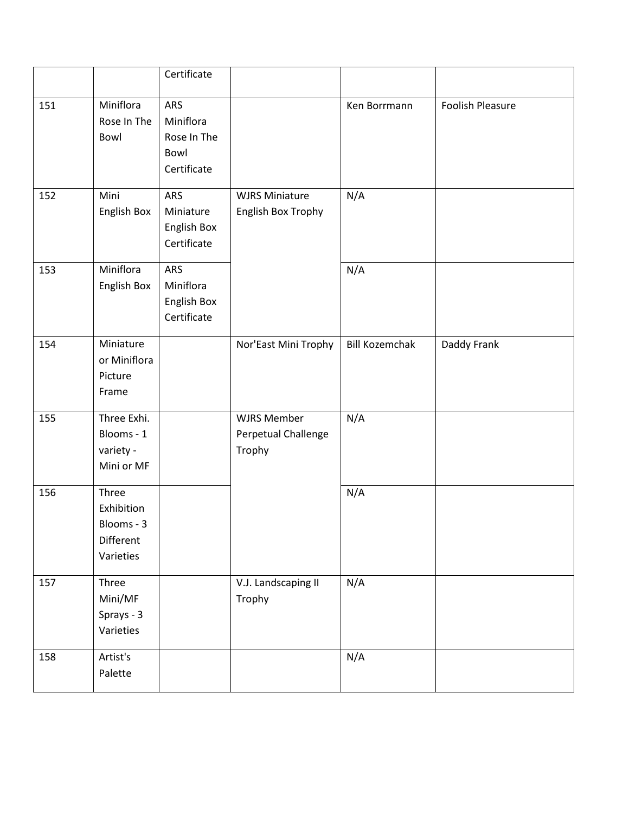|     |                                                             | Certificate                                            |                                                     |                       |                         |
|-----|-------------------------------------------------------------|--------------------------------------------------------|-----------------------------------------------------|-----------------------|-------------------------|
| 151 | Miniflora<br>Rose In The<br>Bowl                            | ARS<br>Miniflora<br>Rose In The<br>Bowl<br>Certificate |                                                     | Ken Borrmann          | <b>Foolish Pleasure</b> |
| 152 | Mini<br>English Box                                         | ARS<br>Miniature<br>English Box<br>Certificate         | <b>WJRS Miniature</b><br>English Box Trophy         | N/A                   |                         |
| 153 | Miniflora<br>English Box                                    | ARS<br>Miniflora<br>English Box<br>Certificate         |                                                     | N/A                   |                         |
| 154 | Miniature<br>or Miniflora<br>Picture<br>Frame               |                                                        | Nor'East Mini Trophy                                | <b>Bill Kozemchak</b> | Daddy Frank             |
| 155 | Three Exhi.<br>Blooms - 1<br>variety -<br>Mini or MF        |                                                        | <b>WJRS Member</b><br>Perpetual Challenge<br>Trophy | N/A                   |                         |
| 156 | Three<br>Exhibition<br>Blooms - 3<br>Different<br>Varieties |                                                        |                                                     | N/A                   |                         |
| 157 | Three<br>Mini/MF<br>Sprays - 3<br>Varieties                 |                                                        | V.J. Landscaping II<br>Trophy                       | N/A                   |                         |
| 158 | Artist's<br>Palette                                         |                                                        |                                                     | N/A                   |                         |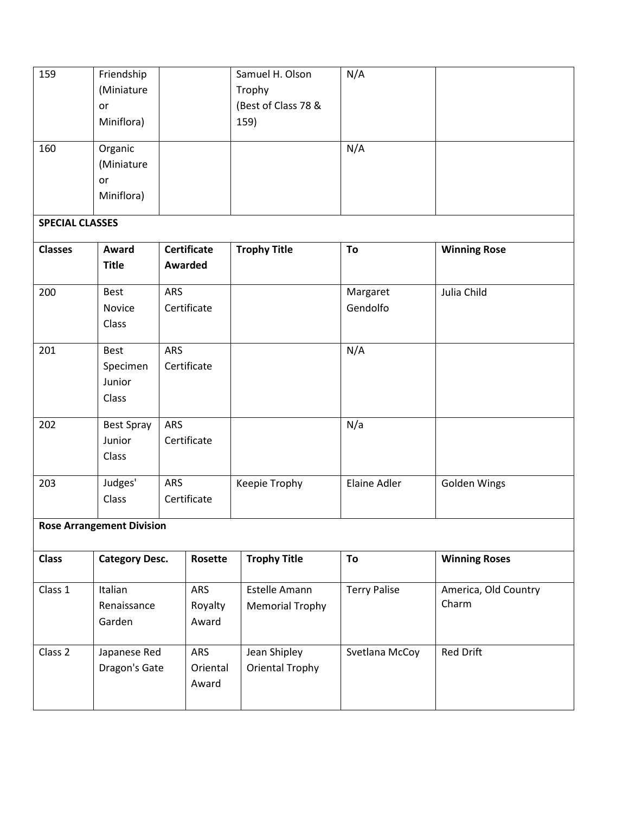| 159<br>160             | Friendship<br>(Miniature<br>or<br>Miniflora)<br>Organic<br>(Miniature<br>or<br>Miniflora) |                                      | Samuel H. Olson<br>Trophy<br>(Best of Class 78 &<br>159) | N/A<br>N/A           |                               |
|------------------------|-------------------------------------------------------------------------------------------|--------------------------------------|----------------------------------------------------------|----------------------|-------------------------------|
| <b>SPECIAL CLASSES</b> |                                                                                           |                                      |                                                          |                      |                               |
| <b>Classes</b>         | Award<br><b>Title</b>                                                                     | <b>Certificate</b><br><b>Awarded</b> | <b>Trophy Title</b>                                      | To                   | <b>Winning Rose</b>           |
| 200                    | <b>Best</b><br>Novice<br>Class                                                            | ARS<br>Certificate                   |                                                          | Margaret<br>Gendolfo | Julia Child                   |
| 201                    | Best<br>Specimen<br>Junior<br>Class                                                       | <b>ARS</b><br>Certificate            |                                                          | N/A                  |                               |
| 202                    | <b>Best Spray</b><br>Junior<br>Class                                                      | ARS<br>Certificate                   |                                                          | N/a                  |                               |
| 203                    | Judges'<br>Class                                                                          | ARS<br>Certificate                   | Keepie Trophy                                            | Elaine Adler         | <b>Golden Wings</b>           |
|                        | <b>Rose Arrangement Division</b>                                                          |                                      |                                                          |                      |                               |
| <b>Class</b>           | <b>Category Desc.</b>                                                                     | Rosette                              | <b>Trophy Title</b>                                      | To                   | <b>Winning Roses</b>          |
| Class 1                | Italian<br>Renaissance<br>Garden                                                          | ARS<br>Royalty<br>Award              | Estelle Amann<br><b>Memorial Trophy</b>                  | <b>Terry Palise</b>  | America, Old Country<br>Charm |
| Class <sub>2</sub>     | Japanese Red<br>Dragon's Gate                                                             | ARS<br>Oriental<br>Award             | Jean Shipley<br><b>Oriental Trophy</b>                   | Svetlana McCoy       | <b>Red Drift</b>              |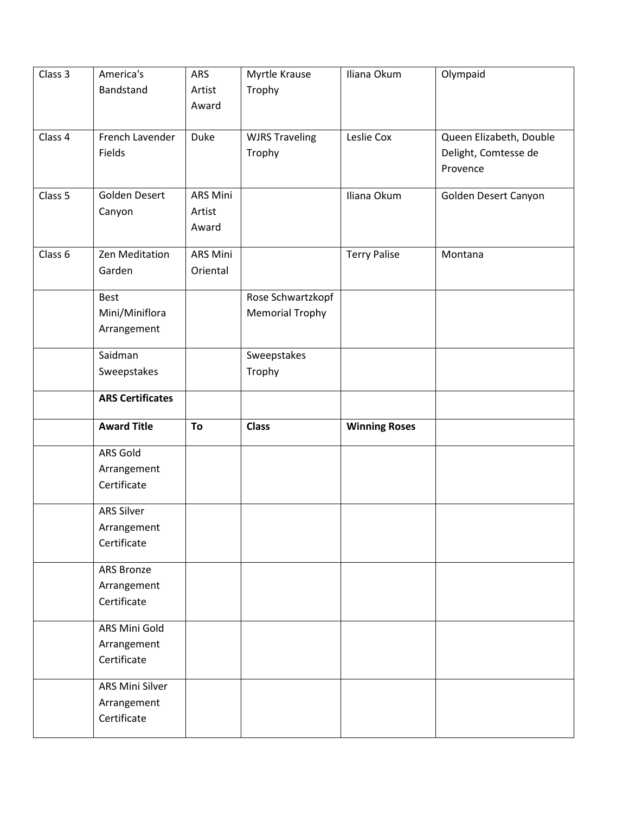| Class 3 | America's                  | ARS             | Myrtle Krause          | Iliana Okum          | Olympaid                |
|---------|----------------------------|-----------------|------------------------|----------------------|-------------------------|
|         | Bandstand                  | Artist          | Trophy                 |                      |                         |
|         |                            | Award           |                        |                      |                         |
| Class 4 | French Lavender            | <b>Duke</b>     | <b>WJRS Traveling</b>  | Leslie Cox           | Queen Elizabeth, Double |
|         | Fields                     |                 | Trophy                 |                      | Delight, Comtesse de    |
|         |                            |                 |                        |                      | Provence                |
| Class 5 | Golden Desert              | <b>ARS Mini</b> |                        | Iliana Okum          | Golden Desert Canyon    |
|         | Canyon                     | Artist          |                        |                      |                         |
|         |                            | Award           |                        |                      |                         |
| Class 6 | Zen Meditation             | <b>ARS Mini</b> |                        | <b>Terry Palise</b>  | Montana                 |
|         | Garden                     | Oriental        |                        |                      |                         |
|         | <b>Best</b>                |                 | Rose Schwartzkopf      |                      |                         |
|         | Mini/Miniflora             |                 | <b>Memorial Trophy</b> |                      |                         |
|         | Arrangement                |                 |                        |                      |                         |
|         | Saidman                    |                 | Sweepstakes            |                      |                         |
|         | Sweepstakes                |                 | Trophy                 |                      |                         |
|         | <b>ARS Certificates</b>    |                 |                        |                      |                         |
|         | <b>Award Title</b>         | To              | <b>Class</b>           | <b>Winning Roses</b> |                         |
|         |                            |                 |                        |                      |                         |
|         | ARS Gold                   |                 |                        |                      |                         |
|         | Arrangement<br>Certificate |                 |                        |                      |                         |
|         |                            |                 |                        |                      |                         |
|         | <b>ARS Silver</b>          |                 |                        |                      |                         |
|         | Arrangement                |                 |                        |                      |                         |
|         | Certificate                |                 |                        |                      |                         |
|         | ARS Bronze                 |                 |                        |                      |                         |
|         | Arrangement                |                 |                        |                      |                         |
|         | Certificate                |                 |                        |                      |                         |
|         | ARS Mini Gold              |                 |                        |                      |                         |
|         | Arrangement                |                 |                        |                      |                         |
|         | Certificate                |                 |                        |                      |                         |
|         |                            |                 |                        |                      |                         |
|         | ARS Mini Silver            |                 |                        |                      |                         |
|         | Arrangement<br>Certificate |                 |                        |                      |                         |